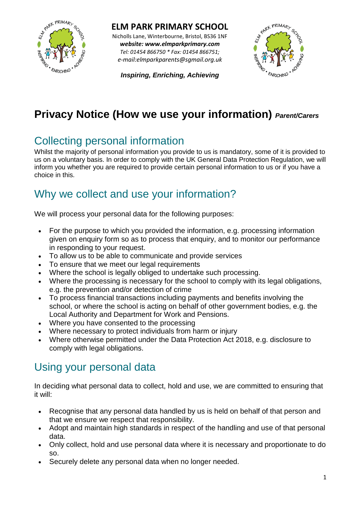

**ELM PARK PRIMARY SCHOOL** Nicholls Lane, Winterbourne, Bristol, BS36 1NF *website: www.elmparkprimary.com*

*Tel: 01454 866750 \* Fax: 01454 866751; e-mail:elmparkparents@sgmail.org.uk*

*Inspiring, Enriching, Achieving*



# **Privacy Notice (How we use your information)** *Parent/Carers*

### Collecting personal information

Whilst the majority of personal information you provide to us is mandatory, some of it is provided to us on a voluntary basis. In order to comply with the UK General Data Protection Regulation, we will inform you whether you are required to provide certain personal information to us or if you have a choice in this.

## Why we collect and use your information?

We will process your personal data for the following purposes:

- For the purpose to which you provided the information, e.g. processing information given on enquiry form so as to process that enquiry, and to monitor our performance in responding to your request.
- To allow us to be able to communicate and provide services
- To ensure that we meet our legal requirements
- Where the school is legally obliged to undertake such processing.
- Where the processing is necessary for the school to comply with its legal obligations, e.g. the prevention and/or detection of crime
- To process financial transactions including payments and benefits involving the school, or where the school is acting on behalf of other government bodies, e.g. the Local Authority and Department for Work and Pensions.
- Where you have consented to the processing
- Where necessary to protect individuals from harm or injury
- Where otherwise permitted under the Data Protection Act 2018, e.g. disclosure to comply with legal obligations.

#### [Using your personal data](http://wiltshire.gov.uk/privacy#collapse12_556465)

In deciding what personal data to collect, hold and use, we are committed to ensuring that it will:

- Recognise that any personal data handled by us is held on behalf of that person and that we ensure we respect that responsibility.
- Adopt and maintain high standards in respect of the handling and use of that personal data.
- Only collect, hold and use personal data where it is necessary and proportionate to do so.
- Securely delete any personal data when no longer needed.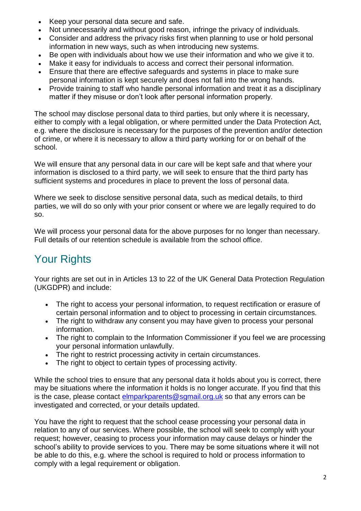- Keep your personal data secure and safe.
- Not unnecessarily and without good reason, infringe the privacy of individuals.
- Consider and address the privacy risks first when planning to use or hold personal information in new ways, such as when introducing new systems.
- Be open with individuals about how we use their information and who we give it to.
- Make it easy for individuals to access and correct their personal information.
- Ensure that there are effective safeguards and systems in place to make sure personal information is kept securely and does not fall into the wrong hands.
- Provide training to staff who handle personal information and treat it as a disciplinary matter if they misuse or don't look after personal information properly.

The school may disclose personal data to third parties, but only where it is necessary, either to comply with a legal obligation, or where permitted under the Data Protection Act, e.g. where the disclosure is necessary for the purposes of the prevention and/or detection of crime, or where it is necessary to allow a third party working for or on behalf of the school.

We will ensure that any personal data in our care will be kept safe and that where your information is disclosed to a third party, we will seek to ensure that the third party has sufficient systems and procedures in place to prevent the loss of personal data.

Where we seek to disclose sensitive personal data, such as medical details, to third parties, we will do so only with your prior consent or where we are legally required to do so.

We will process your personal data for the above purposes for no longer than necessary. Full details of our retention schedule is available from the school office.

# Your Rights

Your rights are set out in in Articles 13 to 22 of the UK General Data Protection Regulation (UKGDPR) and include:

- The right to access your personal information, to request rectification or erasure of certain personal information and to object to processing in certain circumstances.
- The right to withdraw any consent you may have given to process your personal information.
- The right to complain to the Information Commissioner if you feel we are processing your personal information unlawfully.
- The right to restrict processing activity in certain circumstances.
- The right to object to certain types of processing activity.

While the school tries to ensure that any personal data it holds about you is correct, there may be situations where the information it holds is no longer accurate. If you find that this is the case, please contact [elmparkparents@sgmail.org.uk](mailto:elmparkparents@sgmail.org.uk) so that any errors can be investigated and corrected, or your details updated.

You have the right to request that the school cease processing your personal data in relation to any of our services. Where possible, the school will seek to comply with your request; however, ceasing to process your information may cause delays or hinder the school's ability to provide services to you. There may be some situations where it will not be able to do this, e.g. where the school is required to hold or process information to comply with a legal requirement or obligation.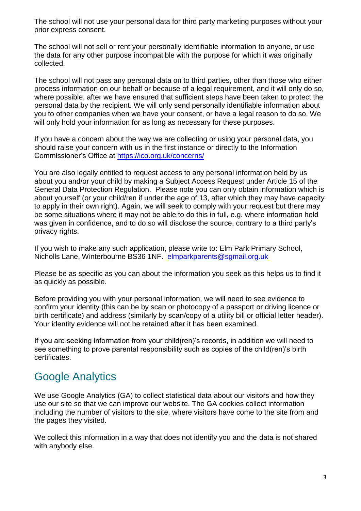The school will not use your personal data for third party marketing purposes without your prior express consent.

The school will not sell or rent your personally identifiable information to anyone, or use the data for any other purpose incompatible with the purpose for which it was originally collected.

The school will not pass any personal data on to third parties, other than those who either process information on our behalf or because of a legal requirement, and it will only do so, where possible, after we have ensured that sufficient steps have been taken to protect the personal data by the recipient. We will only send personally identifiable information about you to other companies when we have your consent, or have a legal reason to do so. We will only hold your information for as long as necessary for these purposes.

If you have a concern about the way we are collecting or using your personal data, you should raise your concern with us in the first instance or directly to the Information Commissioner's Office at<https://ico.org.uk/concerns/>

You are also legally entitled to request access to any personal information held by us about you and/or your child by making a Subject Access Request under Article 15 of the General Data Protection Regulation. Please note you can only obtain information which is about yourself (or your child/ren if under the age of 13, after which they may have capacity to apply in their own right). Again, we will seek to comply with your request but there may be some situations where it may not be able to do this in full, e.g. where information held was given in confidence, and to do so will disclose the source, contrary to a third party's privacy rights.

If you wish to make any such application, please write to: Elm Park Primary School, Nicholls Lane, Winterbourne BS36 1NF. [elmparkparents@sgmail.org.uk](mailto:elmparkparents@sgmail.org.uk)

Please be as specific as you can about the information you seek as this helps us to find it as quickly as possible.

Before providing you with your personal information, we will need to see evidence to confirm your identity (this can be by scan or photocopy of a passport or driving licence or birth certificate) and address (similarly by scan/copy of a utility bill or official letter header). Your identity evidence will not be retained after it has been examined.

If you are seeking information from your child(ren)'s records, in addition we will need to see something to prove parental responsibility such as copies of the child(ren)'s birth certificates.

#### Google Analytics

We use Google Analytics (GA) to collect statistical data about our visitors and how they use our site so that we can improve our website. The GA cookies collect information including the number of visitors to the site, where visitors have come to the site from and the pages they visited.

We collect this information in a way that does not identify you and the data is not shared with anybody else.